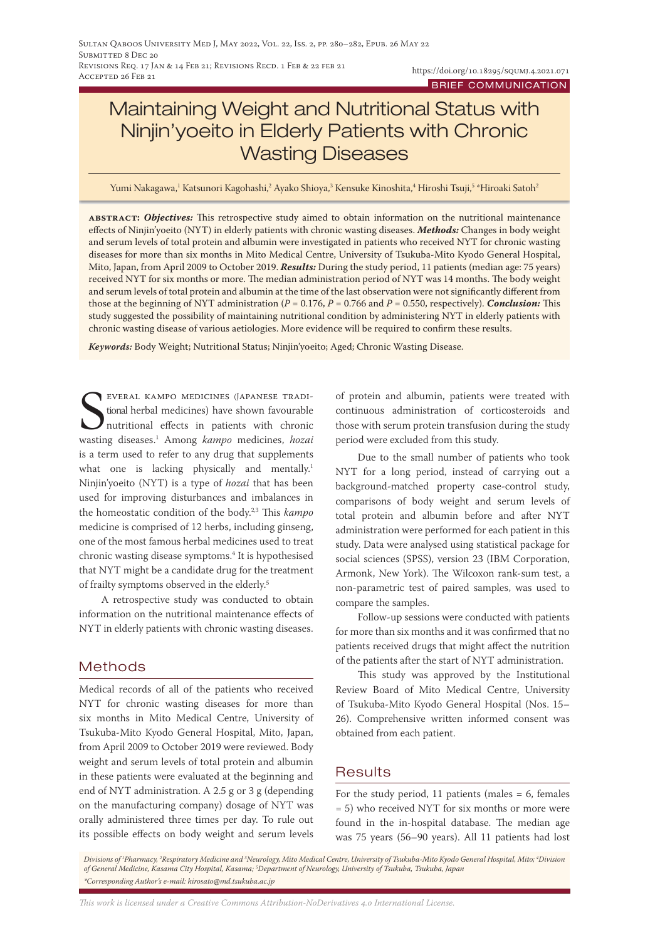# Maintaining Weight and Nutritional Status with Ninjin'yoeito in Elderly Patients with Chronic Wasting Diseases

Yumi Nakagawa,<sup>1</sup> Katsunori Kagohashi,<sup>2</sup> Ayako Shioya,<sup>3</sup> Kensuke Kinoshita,<sup>4</sup> Hiroshi Tsuji,<sup>5 \*Hiroaki Satoh<sup>2</sup></sup>

**abstract:** *Objectives:* This retrospective study aimed to obtain information on the nutritional maintenance effects of Ninjin'yoeito (NYT) in elderly patients with chronic wasting diseases. *Methods:* Changes in body weight and serum levels of total protein and albumin were investigated in patients who received NYT for chronic wasting diseases for more than six months in Mito Medical Centre, University of Tsukuba-Mito Kyodo General Hospital, Mito, Japan, from April 2009 to October 2019. *Results:* During the study period, 11 patients (median age: 75 years) received NYT for six months or more. The median administration period of NYT was 14 months. The body weight and serum levels of total protein and albumin at the time of the last observation were not significantly different from those at the beginning of NYT administration (*P* = 0.176, *P* = 0.766 and *P* = 0.550, respectively). *Conclusion:* This study suggested the possibility of maintaining nutritional condition by administering NYT in elderly patients with chronic wasting disease of various aetiologies. More evidence will be required to confirm these results.

*Keywords:* Body Weight; Nutritional Status; Ninjin'yoeito; Aged; Chronic Wasting Disease.

**SEVERAL KAMPO MEDICINES (JAPANESE TRADI-**<br>tional herbal medicines) have shown favourable<br>nutritional effects in patients with chronic<br>wasting diseases.<sup>1</sup> Among *kampo* medicines, *hozai* everal kampo medicines (Japanese traditional herbal medicines) have shown favourable nutritional effects in patients with chronic is a term used to refer to any drug that supplements what one is lacking physically and mentally.<sup>1</sup> Ninjin'yoeito (NYT) is a type of *hozai* that has been used for improving disturbances and imbalances in the homeostatic condition of the body.2,3 This *kampo* medicine is comprised of 12 herbs, including ginseng, one of the most famous herbal medicines used to treat chronic wasting disease symptoms.<sup>4</sup> It is hypothesised that NYT might be a candidate drug for the treatment of frailty symptoms observed in the elderly.<sup>5</sup>

A retrospective study was conducted to obtain information on the nutritional maintenance effects of NYT in elderly patients with chronic wasting diseases.

## Methods

Medical records of all of the patients who received NYT for chronic wasting diseases for more than six months in Mito Medical Centre, University of Tsukuba-Mito Kyodo General Hospital, Mito, Japan, from April 2009 to October 2019 were reviewed. Body weight and serum levels of total protein and albumin in these patients were evaluated at the beginning and end of NYT administration. A 2.5 g or 3 g (depending on the manufacturing company) dosage of NYT was orally administered three times per day. To rule out its possible effects on body weight and serum levels of protein and albumin, patients were treated with continuous administration of corticosteroids and those with serum protein transfusion during the study period were excluded from this study.

Due to the small number of patients who took NYT for a long period, instead of carrying out a background-matched property case-control study, comparisons of body weight and serum levels of total protein and albumin before and after NYT administration were performed for each patient in this study. Data were analysed using statistical package for social sciences (SPSS), version 23 (IBM Corporation, Armonk, New York). The Wilcoxon rank-sum test, a non-parametric test of paired samples, was used to compare the samples.

Follow-up sessions were conducted with patients for more than six months and it was confirmed that no patients received drugs that might affect the nutrition of the patients after the start of NYT administration.

This study was approved by the Institutional Review Board of Mito Medical Centre, University of Tsukuba-Mito Kyodo General Hospital (Nos. 15– 26). Comprehensive written informed consent was obtained from each patient.

# Results

For the study period, 11 patients (males  $= 6$ , females = 5) who received NYT for six months or more were found in the in-hospital database. The median age was 75 years (56–90 years). All 11 patients had lost

Divisions of <sup>1</sup>Pharmacy, <sup>2</sup>Respiratory Medicine and <sup>3</sup>Neurology, Mito Medical Centre, University of Tsukuba-Mito Kyodo General Hospital, Mito; <sup>4</sup>Division *of General Medicine, Kasama City Hospital, Kasama; 5 Department of Neurology, University of Tsukuba, Tsukuba, Japan \*Corresponding Author's e-mail: hirosato@md.tsukuba.ac.jp* 

*This work is licensed under a [Creative Commons Attribution-NoDerivatives 4.0 International License.](https://creativecommons.org/licenses/by-nd/4.0/)*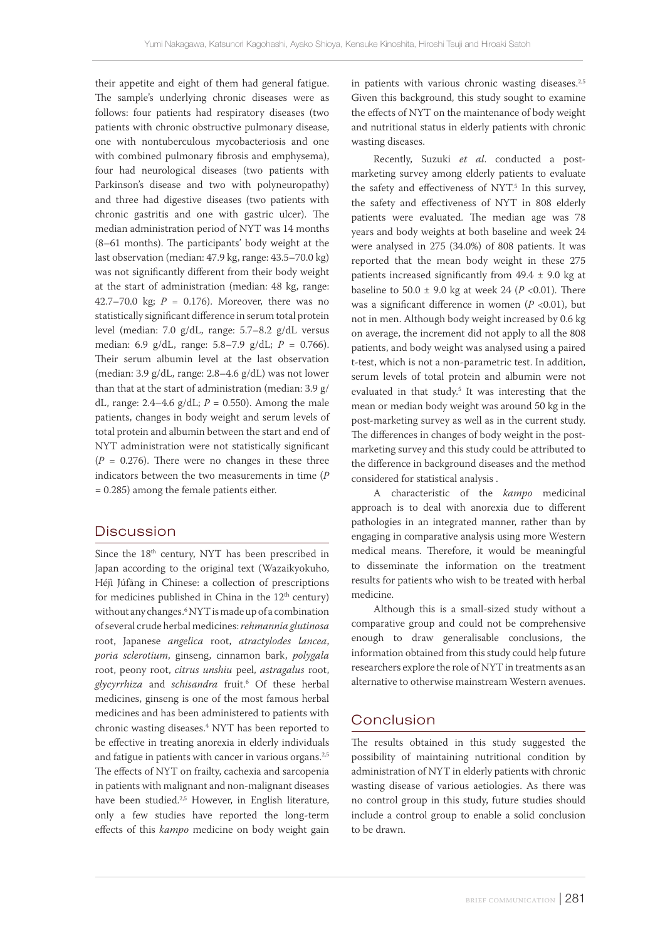their appetite and eight of them had general fatigue. The sample's underlying chronic diseases were as follows: four patients had respiratory diseases (two patients with chronic obstructive pulmonary disease, one with nontuberculous mycobacteriosis and one with combined pulmonary fibrosis and emphysema), four had neurological diseases (two patients with Parkinson's disease and two with polyneuropathy) and three had digestive diseases (two patients with chronic gastritis and one with gastric ulcer). The median administration period of NYT was 14 months (8–61 months). The participants' body weight at the last observation (median: 47.9 kg, range: 43.5–70.0 kg) was not significantly different from their body weight at the start of administration (median: 48 kg, range: 42.7–70.0 kg;  $P = 0.176$ ). Moreover, there was no statistically significant difference in serum total protein level (median: 7.0 g/dL, range: 5.7–8.2 g/dL versus median: 6.9 g/dL, range: 5.8–7.9 g/dL; *P* = 0.766). Their serum albumin level at the last observation (median: 3.9 g/dL, range: 2.8–4.6 g/dL) was not lower than that at the start of administration (median: 3.9 g/ dL, range:  $2.4-4.6$  g/dL;  $P = 0.550$ ). Among the male patients, changes in body weight and serum levels of total protein and albumin between the start and end of NYT administration were not statistically significant  $(P = 0.276)$ . There were no changes in these three indicators between the two measurements in time (*P* = 0.285) among the female patients either.

#### Discussion

Since the 18<sup>th</sup> century, NYT has been prescribed in Japan according to the original text (Wazaikyokuho, Héjì Júfāng in Chinese: a collection of prescriptions for medicines published in China in the  $12<sup>th</sup>$  century) without any changes.6 NYT is made up of a combination of several crude herbal medicines: *rehmannia glutinosa* root, Japanese *angelica* root, *atractylodes lancea*, *poria sclerotium*, ginseng, cinnamon bark, *polygala* root, peony root, *citrus unshiu* peel, *astragalus* root, *glycyrrhiza* and *schisandra* fruit.6 Of these herbal medicines, ginseng is one of the most famous herbal medicines and has been administered to patients with chronic wasting diseases.4 NYT has been reported to be effective in treating anorexia in elderly individuals and fatigue in patients with cancer in various organs.<sup>2,5</sup> The effects of NYT on frailty, cachexia and sarcopenia in patients with malignant and non-malignant diseases have been studied.<sup>2,5</sup> However, in English literature, only a few studies have reported the long-term effects of this *kampo* medicine on body weight gain

in patients with various chronic wasting diseases.<sup>2,5</sup> Given this background, this study sought to examine the effects of NYT on the maintenance of body weight and nutritional status in elderly patients with chronic wasting diseases.

Recently, Suzuki *et al*. conducted a postmarketing survey among elderly patients to evaluate the safety and effectiveness of NYT.<sup>5</sup> In this survey, the safety and effectiveness of NYT in 808 elderly patients were evaluated. The median age was 78 years and body weights at both baseline and week 24 were analysed in 275 (34.0%) of 808 patients. It was reported that the mean body weight in these 275 patients increased significantly from  $49.4 \pm 9.0$  kg at baseline to 50.0  $\pm$  9.0 kg at week 24 (*P* <0.01). There was a significant difference in women ( $P < 0.01$ ), but not in men. Although body weight increased by 0.6 kg on average, the increment did not apply to all the 808 patients, and body weight was analysed using a paired t-test, which is not a non-parametric test. In addition, serum levels of total protein and albumin were not evaluated in that study.<sup>5</sup> It was interesting that the mean or median body weight was around 50 kg in the post-marketing survey as well as in the current study. The differences in changes of body weight in the postmarketing survey and this study could be attributed to the difference in background diseases and the method considered for statistical analysis .

A characteristic of the *kampo* medicinal approach is to deal with anorexia due to different pathologies in an integrated manner, rather than by engaging in comparative analysis using more Western medical means. Therefore, it would be meaningful to disseminate the information on the treatment results for patients who wish to be treated with herbal medicine.

Although this is a small-sized study without a comparative group and could not be comprehensive enough to draw generalisable conclusions, the information obtained from this study could help future researchers explore the role of NYT in treatments as an alternative to otherwise mainstream Western avenues.

#### Conclusion

The results obtained in this study suggested the possibility of maintaining nutritional condition by administration of NYT in elderly patients with chronic wasting disease of various aetiologies. As there was no control group in this study, future studies should include a control group to enable a solid conclusion to be drawn.